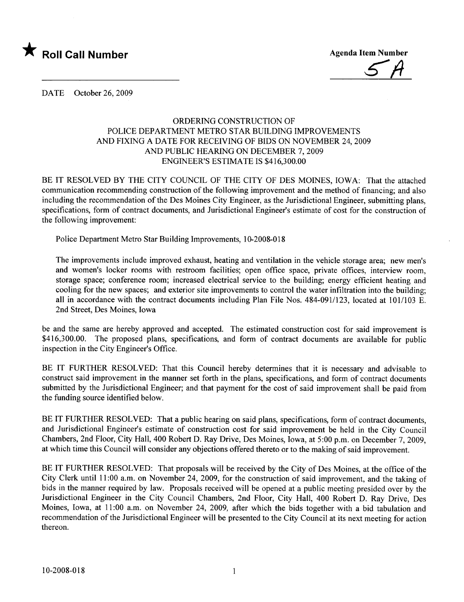

\* Roll Call Number<br>
Agenda Item Number<br>
Agenda Item Number

DATE October 26, 2009

## ORDERING CONSTRUCTION OF POLICE DEPARTMENT METRO STAR BUILDING IMPROVEMENTS AND FIXING A DATE FOR RECEIVING OF BIDS ON NOVEMBER 24, 2009 AND PUBLIC HEARING ON DECEMBER 7, 2009 ENGINEER'S ESTIMATE IS \$416,300.00

BE IT RESOLVED BY THE CITY COUNCIL OF THE CITY OF DES MOINES, IOWA: That the attached communication recommending construction of the following improvement and the method of financing; and also including the recommendation of the Des Moines City Engineer, as the Jurisdictional Engineer, submitting plans, specifications, form of contract documents, and Jurisdictional Engineer's estimate of cost for the construction of the following improvement:

Police Department Metro Star Building Improvements, 10-2008-018

The improvements include improved exhaust, heating and ventilation in the vehicle storage area; new men's and women's locker rooms with restroom facilities; open office space, private offices, interview room, storage space; conference room; increased electrical service to the building; energy efficient heating and cooling for the new spaces; and exterior site improvements to control the water infitration into the building; all in accordance with the contract documents including Plan File Nos. 484-091/123, located at 101/103 E. 2nd Street, Des Moines, Iowa

be and the same are hereby approved and accepted. The estimated construction cost for said improvement is \$416,300.00. The proposed plans, specifications, and form of contract documents are available for public inspection in the City Engineer's Office.

BE IT FURTHER RESOLVED: That this Council hereby determines that it is necessary and advisable to construct said improvement in the manner set forth in the plans, specifications, and form of contract documents submitted by the Jurisdictional Engineer; and that payment for the cost of said improvement shall be paid from the funding source identified below.

BE IT FURTHER RESOLVED: That a public hearing on said plans, specifications, form of contract documents, and Jurisdictional Engineer's estimate of construction cost for said improvement be held in the City Council Chambers, 2nd Floor, City Hall, 400 Robert D. Ray Drive, Des Moines, Iowa, at 5:00 p.m. on December 7,2009, at which time this Council will consider any objections offered thereto or to the making of said improvement.

BE IT FURTHER RESOLVED: That proposals will be received by the City of Des Moines, at the office of the City Clerk until 11 :00 a.m. on November 24, 2009, for the construction of said improvement, and the taking of bids in the manner required by law. Proposals received will be opened at a public meeting presided over by the Jurisdictional Engineer in the City Council Chambers, 2nd Floor, City Hall, 400 Robert D. Ray Drive, Des Moines, Iowa, at 11:00 a.m. on November 24, 2009, after which the bids together with a bid tabulation and recommendation of the Jurisdictional Engineer will be presented to the City Council at its next meeting for action thereon.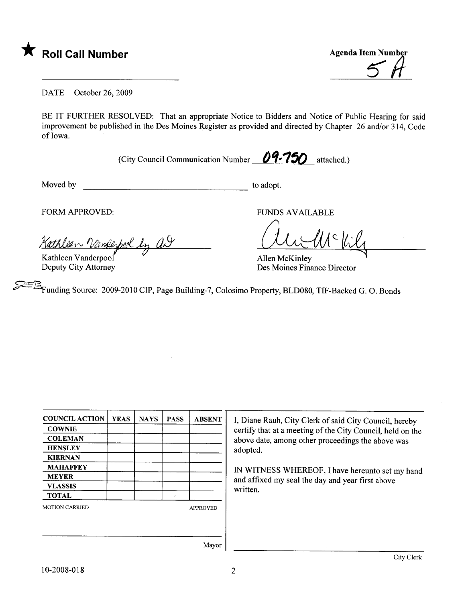



DATE October 26, 2009

BE IT FURTHER RESOLVED: That an appropriate Notice to Bidders and Notice of Public Hearing for said improvement be published in the Des Moines Register as provided and directed by Chapter 26 and/or 314, Code of Iowa.

(City Council Communication Number  $\theta$ 9-750 attached.)

Moved by to adopt.

FORM APPROVED: FUNDS AVAILABLE

<u>len Vansepool by AI</u>

Kathleen Vanderpool Deputy City Attorney

Allen McKinley<br>Des Moines Finance Director

 $\approx$   $\approx$ ~<br>Funding Source: 2009-2010 CIP, Page Building-7, Colosimo Property, BLD080, TIF-Backed G. O. Bonds

| <b>COUNCIL ACTION</b> | <b>YEAS</b> | <b>NAYS</b> | <b>PASS</b>     | <b>ABSENT</b> |
|-----------------------|-------------|-------------|-----------------|---------------|
| <b>COWNIE</b>         |             |             |                 |               |
| <b>COLEMAN</b>        |             |             |                 |               |
| <b>HENSLEY</b>        |             |             |                 |               |
| <b>KIERNAN</b>        |             |             |                 |               |
| <b>MAHAFFEY</b>       |             |             |                 |               |
| <b>MEYER</b>          |             |             |                 |               |
| <b>VLASSIS</b>        |             |             |                 |               |
| <b>TOTAL</b>          |             |             | ×               |               |
| <b>MOTION CARRIED</b> |             |             | <b>APPROVED</b> |               |
|                       |             |             |                 |               |
|                       |             |             |                 |               |

I, Diane Rauh, City Clerk of said City Council, hereby certify that at a meeting of the City Council, held on the above date, among other proceedings the above was adopted.

IN WITNESS WHEREOF, I have hereunto set my hand and affixed my seal the day and year first above written.

Mayor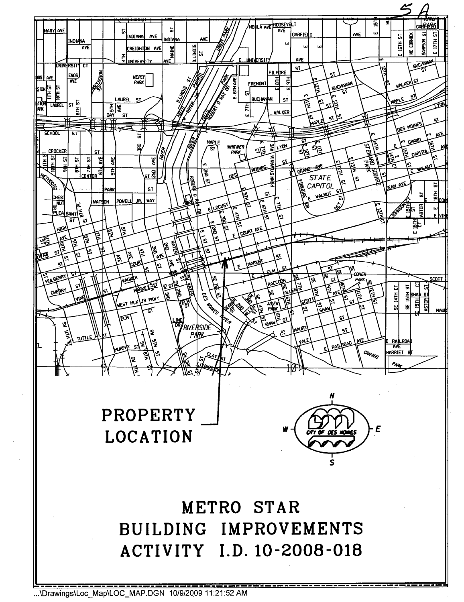

...\Drawings\Loc\_Map\LOC\_MAP.DGN 10/9/2009 11:21:52 AM